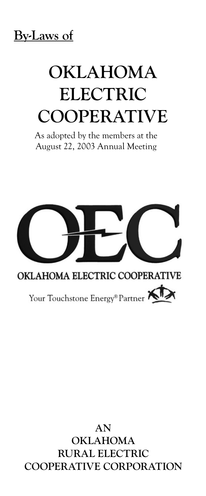## **By-Laws of**

# **Oklahoma Electric Cooperative**

As adopted by the members at the August 22, 2003 Annual Meeting



### **An Oklahoma Rural Electric Cooperative Corporation**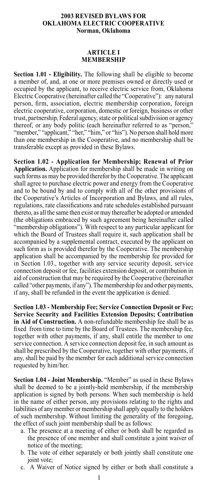#### **2003 REVISED BYLAWS FOR OKLAHOMA ELECTRIC COOPERATIVE Norman, Oklahoma**

#### **ARTICLE I MEMBERSHIP**

**Section 1.01 - Eligibility.** The following shall be eligible to become a member of, and, at one or more premises owned or directly used or occupied by the applicant, to receive electric service from, Oklahoma Electric Cooperative (hereinafter called the "Cooperative"): any natural person, firm, association, electric membership corporation, foreign electric cooperative, corporation, domestic or foreign, business or other trust, partnership, Federal agency, state or political subdivision or agency thereof, or any body politic (each hereinafter referred to as "person," "member," "applicant," "her," "him," or "his"). No person shall hold more than one membership in the Cooperative, and no membership shall be transferable except as provided in these Bylaws.

**Section 1.02 - Application for Membership; Renewal of Prior Application.** Application for membership shall be made in writing on such forms as may be provided therefor by the Cooperative. The applicant shall agree to purchase electric power and energy from the Cooperative and to be bound by and to comply with all of the other provisions of the Cooperative's Articles of Incorporation and Bylaws, and all rules, regulations, rate classifications and rate schedules established pursuant thereto, as all the same then exist or may thereafter be adopted or amended (the obligations embraced by such agreement being hereinafter called "membership obligations"). With respect to any particular applicant for which the Board of Trustees shall require it, such application shall be accompanied by a supplemental contract, executed by the applicant on such form as is provided therefor by the Cooperative. The membership application shall be accompanied by the membership fee provided for in Section 1.03., together with any service security deposit, service connection deposit or fee, facilities extension deposit, or contribution in aid of construction that may be required by the Cooperative (hereinafter called "other payments, if any"). The membership fee and other payments, if any, shall be refunded in the event the application is denied.

**Section 1.03 - Membership Fee; Service Connection Deposit or Fee; Service Security and Facilities Extension Deposits; Contribution in Aid of Construction.** A non-refundable membership fee shall be as fixed from time to time by the Board of Trustees. The membership fee, together with other payments, if any, shall entitle the member to one service connection. A service connection deposit fee, in such amount as shall be prescribed by the Cooperative, together with other payments, if any, shall be paid by the member for each additional service connection requested by him/her.

**Section 1.04 - Joint Membership.** "Member" as used in these Bylaws shall be deemed to be a jointly-held membership, if the membership application is signed by both persons. When such membership is held in the name of either person, any provisions relating to the rights and liabilities of any member or membership shall apply equally to the holders of such membership. Without limiting the generality of the foregoing, the effect of such joint membership shall be as follows:

- a. The presence at a meeting of either or both shall be regarded as the presence of one member and shall constitute a joint waiver of notice of the meeting;
- b. The vote of either separately or both jointly shall constitute one joint vote;
- c. A Waiver of Notice signed by either or both shall constitute a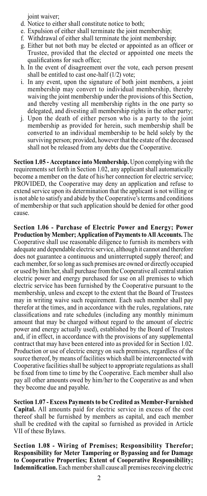joint waiver;

- d. Notice to either shall constitute notice to both;
- e. Expulsion of either shall terminate the joint membership;
- f. Withdrawal of either shall terminate the joint membership;
- g. Either but not both may be elected or appointed as an officer or Trustee, provided that the elected or appointed one meets the qualifications for such office;
- h. In the event of disagreement over the vote, each person present shall be entitled to cast one-half (1/2) vote;
- i. In any event, upon the signature of both joint members, a joint membership may convert to individual membership, thereby waiving the joint membership under the provisions of this Section, and thereby vesting all membership rights in the one party so delegated, and divesting all membership rights in the other party;
- j. Upon the death of either person who is a party to the joint membership as provided for herein, such membership shall be converted to an individual membership to be held solely by the surviving person; provided, however that the estate of the deceased shall not be released from any debts due the Cooperative.

**Section 1.05 - Acceptance into Membership.** Upon complying with the requirements set forth in Section 1.02, any applicant shall automatically become a member on the date of his/her connection for electric service; PROVIDED, the Cooperative may deny an application and refuse to extend service upon its determination that the applicant is not willing or is not able to satisfy and abide by the Cooperative's terms and conditions of membership or that such application should be denied for other good cause.

**Section 1.06 - Purchase of Electric Power and Energy; Power Production by Member; Application of Payments to All Accounts.** The Cooperative shall use reasonable diligence to furnish its members with adequate and dependable electric service, although it cannot and therefore does not guarantee a continuous and uninterrupted supply thereof; and each member, for so long as such premises are owned or directly occupied or used by him/her, shall purchase from the Cooperative all central station electric power and energy purchased for use on all premises to which electric service has been furnished by the Cooperative pursuant to the membership, unless and except to the extent that the Board of Trustees may in writing waive such requirement. Each such member shall pay therefor at the times, and in accordance with the rules, regulations, rate classifications and rate schedules (including any monthly minimum amount that may be charged without regard to the amount of electric power and energy actually used), established by the Board of Trustees and, if in effect, in accordance with the provisions of any supplemental contract that may have been entered into as provided for in Section 1.02. Production or use of electric energy on such premises, regardless of the source thereof, by means of facilities which shall be interconnected with Cooperative facilities shall be subject to appropriate regulations as shall be fixed from time to time by the Cooperative. Each member shall also pay all other amounts owed by him/her to the Cooperative as and when they become due and payable.

**Section 1.07 - Excess Payments to be Credited as Member-Furnished Capital.** All amounts paid for electric service in excess of the cost thereof shall be furnished by members as capital, and each member shall be credited with the capital so furnished as provided in Article VII of these Bylaws.

**Section 1.08 - Wiring of Premises; Responsibility Therefor; Responsibility for Meter Tampering or Bypassing and for Damage to Cooperative Properties; Extent of Cooperative Responsibility; Indemnification.** Each member shall cause all premises receiving electric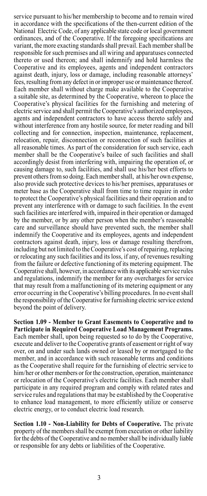service pursuant to his/her membership to become and to remain wired in accordance with the specifications of the then-current edition of the National Electric Code, of any applicable state code or local government ordinances, and of the Cooperative. If the foregoing specifications are variant, the more exacting standards shall prevail. Each member shall be responsible for such premises and all wiring and apparatuses connected thereto or used thereon; and shall indemnify and hold harmless the Cooperative and its employees, agents and independent contractors against death, injury, loss or damage, including reasonable attorneys' fees, resulting from any defect in or improper use or maintenance thereof. Each member shall without charge make available to the Cooperative a suitable site, as determined by the Cooperative, whereon to place the Cooperative's physical facilities for the furnishing and metering of electric service and shall permit the Cooperative's authorized employees, agents and independent contractors to have access thereto safely and without interference from any hostile source, for meter reading and bill collecting and for connection, inspection, maintenance, replacement, relocation, repair, disconnection or reconnection of such facilities at all reasonable times. As part of the consideration for such service, each member shall be the Cooperative's bailee of such facilities and shall accordingly desist from interfering with, impairing the operation of, or causing damage to, such facilities, and shall use his/her best efforts to prevent others from so doing. Each member shall, at his/her own expense, also provide such protective devices to his/her premises, apparatuses or meter base as the Cooperative shall from time to time require in order to protect the Cooperative's physical facilities and their operation and to prevent any interference with or damage to such facilities. In the event such facilities are interfered with, impaired in their operation or damaged by the member, or by any other person when the member's reasonable care and surveillance should have prevented such, the member shall indemnify the Cooperative and its employees, agents and independent contractors against death, injury, loss or damage resulting therefrom, including but not limited to the Cooperative's cost of repairing, replacing or relocating any such facilities and its loss, if any, of revenues resulting from the failure or defective functioning of its metering equipment. The Cooperative shall, however, in accordance with its applicable service rules and regulations, indemnify the member for any overcharges for service that may result from a malfunctioning of its metering equipment or any error occurring in the Cooperative's billing procedures. In no event shall the responsibility of the Cooperative for furnishing electric service extend beyond the point of delivery.

**Section 1.09 - Member to Grant Easements to Cooperative and to Participate in Required Cooperative Load Management Programs.** Each member shall, upon being requested so to do by the Cooperative, execute and deliver to the Cooperative grants of easement or right of way over, on and under such lands owned or leased by or mortgaged to the member, and in accordance with such reasonable terms and conditions as the Cooperative shall require for the furnishing of electric service to him/her or other members or for the construction, operation, maintenance or relocation of the Cooperative's electric facilities. Each member shall participate in any required program and comply with related rates and service rules and regulations that may be established by the Cooperative to enhance load management, to more efficiently utilize or conserve electric energy, or to conduct electric load research.

**Section 1.10 - Non-Liability for Debts of Cooperative.** The private property of the members shall be exempt from execution or other liability for the debts of the Cooperative and no member shall be individually liable or responsible for any debts or liabilities of the Cooperative.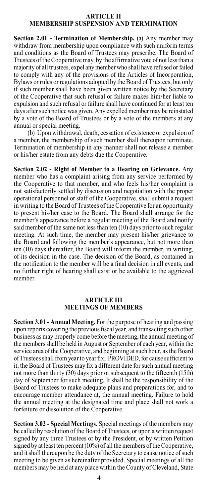#### **ARTICLE II MEMBERSHIP SUSPENSION AND TERMINATION**

**Section 2.01 - Termination of Membership.** (a) Any member may withdraw from membership upon compliance with such uniform terms and conditions as the Board of Trustees may prescribe. The Board of Trustees of the Cooperative may, by the affirmative vote of not less than a majority of all trustees, expel any member who shall have refused or failed to comply with any of the provisions of the Articles of Incorporation, Bylaws or rules or regulations adopted by the Board of Trustees, but only if such member shall have been given written notice by the Secretary of the Cooperative that such refusal or failure makes him/her liable to expulsion and such refusal or failure shall have continued for at least ten days after such notice was given. Any expelled member may be reinstated by a vote of the Board of Trustees or by a vote of the members at any annual or special meeting.

(b) Upon withdrawal, death, cessation of existence or expulsion of a member, the membership of such member shall thereupon terminate. Termination of membership in any manner shall not release a member or his/her estate from any debts due the Cooperative.

**Section 2.02 - Right of Member to a Hearing on Grievance.** Any member who has a complaint arising from any service performed by the Cooperative to that member, and who feels his/her complaint is not satisfactorily settled by discussion and negotiation with the proper operational personnel or staff of the Cooperative, shall submit a request in writing to the Board of Trustees of the Cooperative for an opportunity to present his/her case to the Board. The Board shall arrange for the member's appearance before a regular meeting of the Board and notify said member of the same not less than ten (10) days prior to such regular meeting. At such time, the member may present his/her grievance to the Board and following the member's appearance, but not more than ten (10) days thereafter, the Board will inform the member, in writing, of its decision in the case. The decision of the Board, as contained in the notification to the member will be a final decision in all events, and no further right of hearing shall exist or be available to the aggrieved member.

#### **ARTICLE III MEETINGS OF MEMBERS**

**Section 3.01 - Annual Meeting.** For the purpose of hearing and passing upon reports covering the previous fiscal year, and transacting such other business as may properly come before the meeting, the annual meeting of the members shall be held in August or September of each year, within the service area of the Cooperative, and beginning at such hour, as the Board of Trustees shall from year to year fix; PROVIDED, for cause sufficient to it, the Board of Trustees may fix a different date for such annual meeting not more than thirty (30) days prior or subsequent to the fifteenth (15th) day of September for such meeting. It shall be the responsibility of the Board of Trustees to make adequate plans and preparations for, and to encourage member attendance at, the annual meeting. Failure to hold the annual meeting at the designated time and place shall not work a forfeiture or dissolution of the Cooperative.

**Section 3.02 - Special Meetings.** Special meetings of the members may be called by resolution of the Board of Trustees, or upon a written request signed by any three Trustees or by the President, or by written Petition signed by at least ten percent (10%) of all the members of the Cooperative, and it shall thereupon be the duty of the Secretary to cause notice of such meeting to be given as hereinafter provided. Special meetings of all the members may be held at any place within the County of Cleveland, State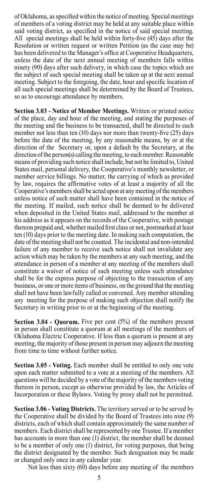of Oklahoma, as specified within the notice of meeting. Special meetings of members of a voting district may be held at any suitable place within said voting district, as specified in the notice of said special meeting. All special meetings shall be held within forty-five (45) days after the Resolution or written request or written Petition (as the case may be) has been delivered to the Manager's office at Cooperative Headquarters, unless the date of the next annual meeting of members falls within ninety (90) days after such delivery, in which case the topics which are the subject of such special meeting shall be taken up at the next annual meeting. Subject to the foregoing, the date, hour and specific location of all such special meetings shall be determined by the Board of Trustees, so as to encourage attendance by members.

**Section 3.03 - Notice of Member Meetings.** Written or printed notice of the place, day and hour of the meeting, and stating the purposes of the meeting and the business to be transacted, shall be directed to each member not less than ten (10) days nor more than twenty-five (25) days before the date of the meeting, by any reasonable means, by or at the direction of the Secretary or, upon a default by the Secretary, at the direction of the person(s) calling the meeting, to each member. Reasonable means of providing such notice shall include, but not be limited to, United States mail, personal delivery, the Cooperative's monthly newsletter, or member service billings. No matter, the carrying of which as provided by law, requires the affirmative votes of at least a majority of all the Cooperative's members shall be acted upon at any meeting of the members unless notice of such matter shall have been contained in the notice of the meeting. If mailed, such notice shall be deemed to be delivered when deposited in the United States mail, addressed to the member at his address as it appears on the records of the Cooperative, with postage thereon prepaid and, whether mailed first class or not, postmarked at least ten (10) days prior to the meeting date. In making such computation, the date of the meeting shall not be counted. The incidental and non-intended failure of any member to receive such notice shall not invalidate any action which may be taken by the members at any such meeting, and the attendance in person of a member at any meeting of the members shall constitute a waiver of notice of such meeting unless such attendance shall be for the express purpose of objecting to the transaction of any business, or one or more items of business, on the ground that the meeting shall not have been lawfully called or convened. Any member attending any meeting for the purpose of making such objection shall notify the Secretary in writing prior to or at the beginning of the meeting.

**Section 3.04 - Quorum.** Five per cent (5%) of the members present in person shall constitute a quorum at all meetings of the members of Oklahoma Electric Cooperative. If less than a quorum is present at any meeting, the majority of those present in person may adjourn the meeting from time to time without further notice.

**Section 3.05 - Voting.** Each member shall be entitled to only one vote upon each matter submitted to a vote at a meeting of the members. All questions will be decided by a vote of the majority of the members voting thereon in person, except as otherwise provided by law, the Articles of Incorporation or these Bylaws. Voting by proxy shall not be permitted.

**Section 3.06 - Voting Districts.** The territory served or to be served by the Cooperative shall be divided by the Board of Trustees into nine (9) districts, each of which shall contain approximately the same number of members. Each district shall be represented by one Trustee. If a member has accounts in more than one (1) district, the member shall be deemed to be a member of only one (1) district, for voting purposes, that being the district designated by the member. Such designation may be made or changed only once in any calendar year.

Not less than sixty (60) days before any meeting of the members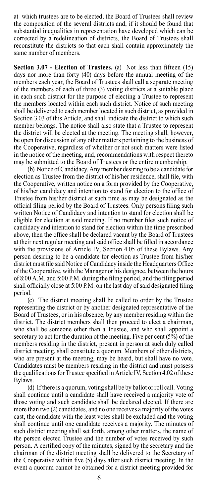at which trustees are to be elected, the Board of Trustees shall review the composition of the several districts and, if it should be found that substantial inequalities in representation have developed which can be corrected by a redelineation of districts, the Board of Trustees shall reconstitute the districts so that each shall contain approximately the same number of members.

**Section 3.07 - Election of Trustees.** (a) Not less than fifteen (15) days nor more than forty (40) days before the annual meeting of the members each year, the Board of Trustees shall call a separate meeting of the members of each of three (3) voting districts at a suitable place in each such district for the purpose of electing a Trustee to represent the members located within each such district. Notice of such meeting shall be delivered to each member located in such district, as provided in Section 3.03 of this Article, and shall indicate the district to which such member belongs. The notice shall also state that a Trustee to represent the district will be elected at the meeting. The meeting shall, however, be open for discussion of any other matters pertaining to the business of the Cooperative, regardless of whether or not such matters were listed in the notice of the meeting, and, recommendations with respect thereto may be submitted to the Board of Trustees or the entire membership.

(b) Notice of Candidacy. Any member desiring to be a candidate for election as Trustee from the district of his/her residence, shall file, with the Cooperative, written notice on a form provided by the Cooperative, of his/her candidacy and intention to stand for election to the office of Trustee from his/her district at such time as may be designated as the official filing period by the Board of Trustees. Only persons filing such written Notice of Candidacy and intention to stand for election shall be eligible for election at said meeting. If no member files such notice of candidacy and intention to stand for election within the time prescribed above, then the office shall be declared vacant by the Board of Trustees at their next regular meeting and said office shall be filled in accordance with the provisions of Article IV, Section 4.05 of these Bylaws. Any person desiring to be a candidate for election as Trustee from his/her district must file said Notice of Candidacy inside the Headquarters Office of the Cooperative, with the Manager or his designee, between the hours of 8:00 A.M. and 5:00 P.M. during the filing period, and the filing period shall officially close at 5:00 P.M. on the last day of said designated filing period.

(c) The district meeting shall be called to order by the Trustee representing the district or by another designated representative of the Board of Trustees, or in his absence, by any member residing within the district. The district members shall then proceed to elect a chairman, who shall be someone other than a Trustee, and who shall appoint a secretary to act for the duration of the meeting. Five per cent (5%) of the members residing in the district, present in person at such duly called district meeting, shall constitute a quorum. Members of other districts, who are present at the meeting, may be heard, but shall have no vote. Candidates must be members residing in the district and must possess the qualifications for Trustee specified in Article IV, Section 4.02 of these Bylaws.

(d) If there is a quorum, voting shall be by ballot or roll call. Voting shall continue until a candidate shall have received a majority vote of those voting and such candidate shall be declared elected. If there are more than two (2) candidates, and no one receives a majority of the votes cast, the candidate with the least votes shall be excluded and the voting shall continue until one candidate receives a majority. The minutes of such district meeting shall set forth, among other matters, the name of the person elected Trustee and the number of votes received by such person. A certified copy of the minutes, signed by the secretary and the chairman of the district meeting shall be delivered to the Secretary of the Cooperative within five (5) days after such district meeting. In the event a quorum cannot be obtained for a district meeting provided for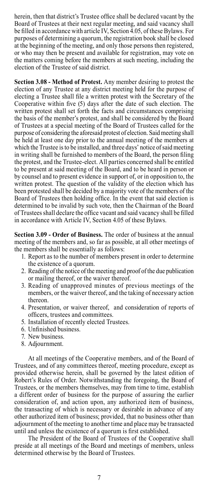herein, then that district's Trustee office shall be declared vacant by the Board of Trustees at their next regular meeting, and said vacancy shall be filled in accordance with article IV, Section 4.05, of these Bylaws. For purposes of determining a quorum, the registration book shall be closed at the beginning of the meeting, and only those persons then registered, or who may then be present and available for registration, may vote on the matters coming before the members at such meeting, including the election of the Trustee of said district.

**Section 3.08 - Method of Protest.** Any member desiring to protest the election of any Trustee at any district meeting held for the purpose of electing a Trustee shall file a written protest with the Secretary of the Cooperative within five (5) days after the date of such election. The written protest shall set forth the facts and circumstances comprising the basis of the member's protest, and shall be considered by the Board of Trustees at a special meeting of the Board of Trustees called for the purpose of considering the aforesaid protest of election. Said meeting shall be held at least one day prior to the annual meeting of the members at which the Trustee is to be installed, and three days' notice of said meeting in writing shall be furnished to members of the Board, the person filing the protest, and the Trustee-elect. All parties concerned shall be entitled to be present at said meeting of the Board, and to be heard in person or by counsel and to present evidence in support of, or in opposition to, the written protest. The question of the validity of the election which has been protested shall be decided by a majority vote of the members of the Board of Trustees then holding office. In the event that said election is determined to be invalid by such vote, then the Chairman of the Board of Trustees shall declare the office vacant and said vacancy shall be filled in accordance with Article IV, Section 4.05 of these Bylaws.

**Section 3.09 - Order of Business.** The order of business at the annual meeting of the members and, so far as possible, at all other meetings of the members shall be essentially as follows:

- 1. Report as to the number of members present in order to determine the existence of a quorum.
- 2. Reading of the notice of the meeting and proof of the due publication or mailing thereof, or the waiver thereof.
- 3. Reading of unapproved minutes of previous meetings of the members, or the waiver thereof, and the taking of necessary action thereon.
- 4. Presentation, or waiver thereof, and consideration of reports of officers, trustees and committees.
- 5. Installation of recently elected Trustees.
- 6. Unfinished business.
- 7. New business.
- 8. Adjournment.

At all meetings of the Cooperative members, and of the Board of Trustees, and of any committees thereof, meeting procedure, except as provided otherwise herein, shall be governed by the latest edition of Robert's Rules of Order. Notwithstanding the foregoing, the Board of Trustees, or the members themselves, may from time to time, establish a different order of business for the purpose of assuring the earlier consideration of, and action upon, any authorized item of business, the transacting of which is necessary or desirable in advance of any other authorized item of business; provided, that no business other than adjournment of the meeting to another time and place may be transacted until and unless the existence of a quorum is first established.

The President of the Board of Trustees of the Cooperative shall preside at all meetings of the Board and meetings of members, unless determined otherwise by the Board of Trustees.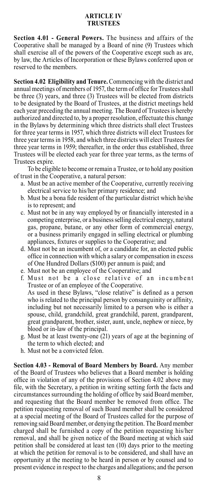#### **ARTICLE IV TRUSTEES**

**Section 4.01 - General Powers.** The business and affairs of the Cooperative shall be managed by a Board of nine (9) Trustees which shall exercise all of the powers of the Cooperative except such as are, by law, the Articles of Incorporation or these Bylaws conferred upon or reserved to the members.

**Section 4.02 Eligibility and Tenure.** Commencing with the district and annual meetings of members of 1957, the term of office for Trustees shall be three (3) years, and three (3) Trustees will be elected from districts to be designated by the Board of Trustees, at the district meetings held each year preceding the annual meeting. The Board of Trustees is hereby authorized and directed to, by a proper resolution, effectuate this change in the Bylaws by determining which three districts shall elect Trustees for three year terms in 1957, which three districts will elect Trustees for three year terms in 1958, and which three districts will elect Trustees for three year terms in 1959; thereafter, in the order thus established, three Trustees will be elected each year for three year terms, as the terms of Trustees expire.

To be eligible to become or remain a Trustee, or to hold any position of trust in the Cooperative, a natural person:

- a. Must be an active member of the Cooperative, currently receiving electrical service to his/her primary residence; and
- b. Must be a bona fide resident of the particular district which he/she is to represent; and
- c. Must not be in any way employed by or financially interested in a competing enterprise, or a business selling electrical energy, natural gas, propane, butane, or any other form of commercial energy, or a business primarily engaged in selling electrical or plumbing appliances, fixtures or supplies to the Cooperative; and
- d. Must not be an incumbent of, or a candidate for, an elected public office in connection with which a salary or compensation in excess of One Hundred Dollars (\$100) per annum is paid; and
- e. Must not be an employee of the Cooperative; and
- f. Must not be a close relative of an incumbent Trustee or of an employee of the Cooperative. As used in these Bylaws, "close relative" is defined as a person who is related to the principal person by consanguinity or affinity, including but not necessarily limited to a person who is either a spouse, child, grandchild, great grandchild, parent, grandparent, great grandparent, brother, sister, aunt, uncle, nephew or niece, by blood or in-law of the principal.
- g. Must be at least twenty-one (21) years of age at the beginning of the term to which elected; and
- h. Must not be a convicted felon.

**Section 4.03 - Removal of Board Members by Board.** Any member of the Board of Trustees who believes that a Board member is holding office in violation of any of the provisions of Section 4.02 above may file, with the Secretary, a petition in writing setting forth the facts and circumstances surrounding the holding of office by said Board member, and requesting that the Board member be removed from office. The petition requesting removal of such Board member shall be considered at a special meeting of the Board of Trustees called for the purpose of removing said Board member, or denying the petition. The Board member charged shall be furnished a copy of the petition requesting his/her removal, and shall be given notice of the Board meeting at which said petition shall be considered at least ten (10) days prior to the meeting at which the petition for removal is to be considered, and shall have an opportunity at the meeting to be heard in person or by counsel and to present evidence in respect to the charges and allegations; and the person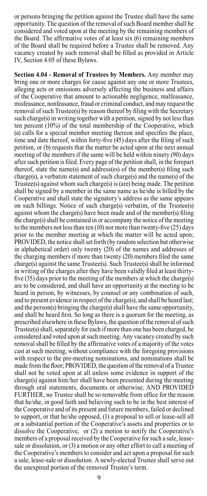or persons bringing the petition against the Trustee shall have the same opportunity. The question of the removal of such Board member shall be considered and voted upon at the meeting by the remaining members of the Board. The affirmative votes of at least six (6) remaining members of the Board shall be required before a Trustee shall be removed. Any vacancy created by such removal shall be filled as provided in Article IV, Section 4.05 of these Bylaws.

**Section 4.04 - Removal of Trustees by Members.** Any member may bring one or more charges for cause against any one or more Trustees, alleging acts or omissions adversely affecting the business and affairs of the Cooperative that amount to actionable negligence, malfeasance, misfeasance, nonfeasance, fraud or criminal conduct, and may request the removal of such Trustee(s) by reason thereof by filing with the Secretary such charge(s) in writing together with a petition, signed by not less than ten percent (10%) of the total membership of the Cooperative, which (a) calls for a special member meeting thereon and specifies the place, time and date thereof, within forty-five (45) days after the filing of such petition, or (b) requests that the matter be acted upon at the next annual meeting of the members if the same will be held within ninety (90) days after such petition is filed. Every page of the petition shall, in the forepart thereof, state the name(s) and address(es) of the member(s) filing such charge(s), a verbatim statement of such charge(s) and the name(s) of the Trustee(s) against whom such charge(s) is (are) being made. The petition shall be signed by a member in the same name as he/she is billed by the Cooperative and shall state the signatory's address as the same appears on such billings. Notice of such charge(s) verbatim, of the Trustee(s) against whom the charge(s) have been made and of the member(s) filing the charge(s) shall be contained in or accompany the notice of the meeting to the members not less than ten (10) nor more than twenty-five (25) days prior to the member meeting at which the matter will be acted upon; PROVIDED, the notice shall set forth (by random selection but otherwise in alphabetical order) only twenty (20) of the names and addresses of the charging members if more than twenty (20) members filed the same charge(s) against the same Trustee(s). Such Trustee(s) shall be informed in writing of the charges after they have been validly filed at least thirtyfive (35) days prior to the meeting of the members at which the charge(s) are to be considered, and shall have an opportunity at the meeting to be heard in person, by witnesses, by counsel or any combination of such, and to present evidence in respect of the charge(s), and shall be heard last; and the person(s) bringing the charge(s) shall have the same opportunity, and shall be heard first. So long as there is a quorum for the meeting, as prescribed elsewhere in these Bylaws, the question of the removal of such Trustee(s) shall, separately for each if more than one has been charged, be considered and voted upon at such meeting. Any vacancy created by such removal shall be filled by the affirmative votes of a majority of the votes cast at such meeting, without compliance with the foregoing provisions with respect to the pre-meeting nominations, and nominations shall be made from the floor; PROVIDED, the question of the removal of a Trustee shall not be voted upon at all unless some evidence in support of the charge(s) against him/her shall have been presented during the meeting through oral statements, documents or otherwise; AND PROVIDED FURTHER, no Trustee shall be so removable from office for the reason that he/she, in good faith and believing such to be in the best interest of the Cooperative and of its present and future members, failed or declined to support, or that he/she opposed, (1) a proposal to sell or lease-sell all or a substantial portion of the Cooperative's assets and properties or to dissolve the Cooperative, or (2) a motion to notify the Cooperative's members of a proposal received by the Cooperative for such a sale, leasesale or dissolution, or (3) a motion or any other effort to call a meeting of the Cooperative's members to consider and act upon a proposal for such a sale, lease-sale or dissolution. A newly-elected Trustee shall serve out the unexpired portion of the removed Trustee's term.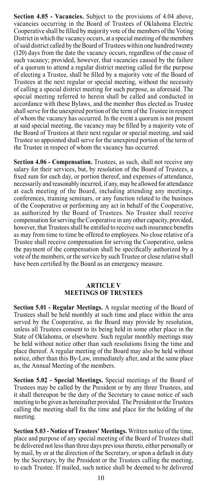**Section 4.05 - Vacancies.** Subject to the provisions of 4.04 above, vacancies occurring in the Board of Trustees of Oklahoma Electric Cooperative shall be filled by majority vote of the members of the Voting District in which the vacancy occurs, at a special meeting of the members of said district called by the Board of Trustees within one hundred twenty (120) days from the date the vacancy occurs, regardless of the cause of such vacancy; provided, however, that vacancies caused by the failure of a quorum to attend a regular district meeting called for the purpose of electing a Trustee, shall be filled by a majority vote of the Board of Trustees at the next regular or special meeting, without the necessity of calling a special district meeting for such purpose, as aforesaid. The special meeting referred to herein shall be called and conducted in accordance with these Bylaws, and the member thus elected as Trustee shall serve for the unexpired portion of the term of the Trustee in respect of whom the vacancy has occurred. In the event a quorum is not present at said special meeting, the vacancy may be filled by a majority vote of the Board of Trustees at their next regular or special meeting, and said Trustee so appointed shall serve for the unexpired portion of the term of the Trustee in respect of whom the vacancy has occurred.

**Section 4.06 - Compensation.** Trustees, as such, shall not receive any salary for their services, but, by resolution of the Board of Trustees, a fixed sum for each day, or portion thereof, and expenses of attendance, necessarily and reasonably incurred, if any, may be allowed for attendance at each meeting of the Board, including attending any meetings, conferences, training seminars, or any function related to the business of the Cooperative or performing any act in behalf of the Cooperative, as authorized by the Board of Trustees. No Trustee shall receive compensation for serving the Cooperative in any other capacity, provided, however, that Trustees shall be entitled to receive such insurance benefits as may from time to time be offered to employees. No close relative of a Trustee shall receive compensation for serving the Cooperative, unless the payment of the compensation shall be specifically authorized by a vote of the members, or the service by such Trustee or close relative shall have been certified by the Board as an emergency measure.

#### **ARTICLE V MEETINGS OF TRUSTEES**

**Section 5.01 - Regular Meetings.** A regular meeting of the Board of Trustees shall be held monthly at such time and place within the area served by the Cooperative, as the Board may provide by resolution, unless all Trustees consent to its being held in some other place in the State of Oklahoma, or elsewhere. Such regular monthly meetings may be held without notice other than such resolutions fixing the time and place thereof. A regular meeting of the Board may also be held without notice, other than this By-Law, immediately after, and at the same place as, the Annual Meeting of the members.

**Section 5.02 - Special Meetings.** Special meetings of the Board of Trustees may be called by the President or by any three Trustees, and it shall thereupon be the duty of the Secretary to cause notice of such meeting to be given as hereinafter provided. The President or the Trustees calling the meeting shall fix the time and place for the holding of the meeting.

**Section 5.03 - Notice of Trustees' Meetings.** Written notice of the time, place and purpose of any special meeting of the Board of Trustees shall be delivered not less than three days previous thereto, either personally or by mail, by or at the direction of the Secretary, or upon a default in duty by the Secretary, by the President or the Trustees calling the meeting, to each Trustee. If mailed, such notice shall be deemed to be delivered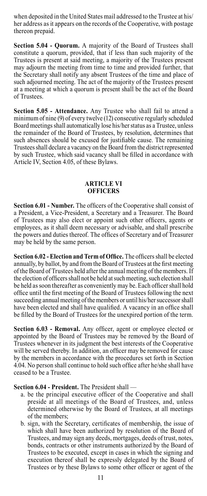when deposited in the United States mail addressed to the Trustee at his/ her address as it appears on the records of the Cooperative, with postage thereon prepaid.

**Section 5.04 - Quorum.** A majority of the Board of Trustees shall constitute a quorum, provided, that if less than such majority of the Trustees is present at said meeting, a majority of the Trustees present may adjourn the meeting from time to time and provided further, that the Secretary shall notify any absent Trustees of the time and place of such adjourned meeting. The act of the majority of the Trustees present at a meeting at which a quorum is present shall be the act of the Board of Trustees.

**Section 5.05 - Attendance.** Any Trustee who shall fail to attend a minimum of nine (9) of every twelve (12) consecutive regularly scheduled Board meetings shall automatically lose his/her status as a Trustee, unless the remainder of the Board of Trustees, by resolution, determines that such absences should be excused for justifiable cause. The remaining Trustees shall declare a vacancy on the Board from the district represented by such Trustee, which said vacancy shall be filled in accordance with Article IV, Section 4.05, of these Bylaws.

#### **ARTICLE VI OFFICERS**

**Section 6.01 - Number.** The officers of the Cooperative shall consist of a President, a Vice-President, a Secretary and a Treasurer. The Board of Trustees may also elect or appoint such other officers, agents or employees, as it shall deem necessary or advisable, and shall prescribe the powers and duties thereof. The offices of Secretary and of Treasurer may be held by the same person.

**Section 6.02 - Election and Term of Office.** The officers shall be elected annually, by ballot, by and from the Board of Trustees at the first meeting of the Board of Trustees held after the annual meeting of the members. If the election of officers shall not be held at such meeting, such election shall be held as soon thereafter as conveniently may be. Each officer shall hold office until the first meeting of the Board of Trustees following the next succeeding annual meeting of the members or until his/her successor shall have been elected and shall have qualified. A vacancy in an office shall be filled by the Board of Trustees for the unexpired portion of the term.

**Section 6.03 - Removal.** Any officer, agent or employee elected or appointed by the Board of Trustees may be removed by the Board of Trustees whenever in its judgment the best interests of the Cooperative will be served thereby. In addition, an officer may be removed for cause by the members in accordance with the procedures set forth in Section 4.04. No person shall continue to hold such office after he/she shall have ceased to be a Trustee.

**Section 6.04 - President.** The President shall —

- a. be the principal executive officer of the Cooperative and shall preside at all meetings of the Board of Trustees, and, unless determined otherwise by the Board of Trustees, at all meetings of the members;
- b. sign, with the Secretary, certificates of membership, the issue of which shall have been authorized by resolution of the Board of Trustees, and may sign any deeds, mortgages, deeds of trust, notes, bonds, contracts or other instruments authorized by the Board of Trustees to be executed, except in cases in which the signing and execution thereof shall be expressly delegated by the Board of Trustees or by these Bylaws to some other officer or agent of the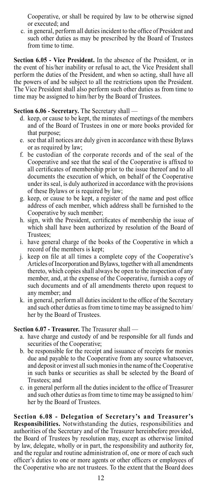Cooperative, or shall be required by law to be otherwise signed or executed; and

c. in general, perform all duties incident to the office of President and such other duties as may be prescribed by the Board of Trustees from time to time.

**Section 6.05 - Vice President.** In the absence of the President, or in the event of his/her inability or refusal to act, the Vice President shall perform the duties of the President, and when so acting, shall have all the powers of and be subject to all the restrictions upon the President. The Vice President shall also perform such other duties as from time to time may be assigned to him/her by the Board of Trustees.

#### **Section 6.06 - Secretary.** The Secretary shall —

- d. keep, or cause to be kept, the minutes of meetings of the members and of the Board of Trustees in one or more books provided for that purpose;
- e. see that all notices are duly given in accordance with these Bylaws or as required by law;
- f. be custodian of the corporate records and of the seal of the Cooperative and see that the seal of the Cooperative is affixed to all certificates of membership prior to the issue thereof and to all documents the execution of which, on behalf of the Cooperative under its seal, is duly authorized in accordance with the provisions of these Bylaws or is required by law;
- g. keep, or cause to be kept, a register of the name and post office address of each member, which address shall be furnished to the Cooperative by such member;
- h. sign, with the President, certificates of membership the issue of which shall have been authorized by resolution of the Board of Trustees;
- i. have general charge of the books of the Cooperative in which a record of the members is kept;
- j. keep on file at all times a complete copy of the Cooperative's Articles of Incorporation and Bylaws, together with all amendments thereto, which copies shall always be open to the inspection of any member, and, at the expense of the Cooperative, furnish a copy of such documents and of all amendments thereto upon request to any member; and
- k. in general, perform all duties incident to the office of the Secretary and such other duties as from time to time may be assigned to him/ her by the Board of Trustees.

#### **Section 6.07 - Treasurer.** The Treasurer shall —

- a. have charge and custody of and be responsible for all funds and securities of the Cooperative;
- b. be responsible for the receipt and issuance of receipts for monies due and payable to the Cooperative from any source whatsoever, and deposit or invest all such monies in the name of the Cooperative in such banks or securities as shall be selected by the Board of Trustees; and
- c. in general perform all the duties incident to the office of Treasurer and such other duties as from time to time may be assigned to him/ her by the Board of Trustees.

**Section 6.08 - Delegation of Secretary's and Treasurer's Responsibilities.** Notwithstanding the duties, responsibilities and authorities of the Secretary and of the Treasurer hereinbefore provided, the Board of Trustees by resolution may, except as otherwise limited by law, delegate, wholly or in part, the responsibility and authority for, and the regular and routine administration of, one or more of each such officer's duties to one or more agents or other officers or employees of the Cooperative who are not trustees. To the extent that the Board does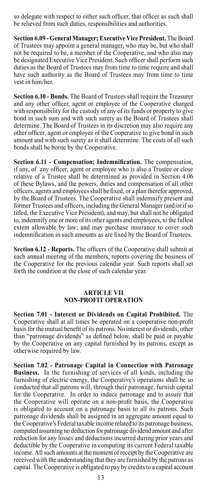so delegate with respect to either such officer, that officer as such shall be relieved from such duties, responsibilities and authorities.

**Section 6.09 - General Manager; Executive Vice President.** The Board of Trustees may appoint a general manager, who may be, but who shall not be required to be, a member of the Cooperative, and who also may be designated Executive Vice President. Such officer shall perform such duties as the Board of Trustees may from time to time require and shall have such authority as the Board of Trustees may from time to time vest in him/her.

**Section 6.10 - Bonds.** The Board of Trustees shall require the Treasurer and any other officer, agent or employee of the Cooperative charged with responsibility for the custody of any of its funds or property to give bond in such sum and with such surety as the Board of Trustees shall determine. The Board of Trustees in its discretion may also require any other officer, agent or employee of the Cooperative to give bond in such amount and with such surety as it shall determine. The costs of all such bonds shall be borne by the Cooperative.

**Section 6.11 - Compensation; Indemnification.** The compensation, if any, of any officer, agent or employee who is also a Trustee or close relative of a Trustee shall be determined as provided in Section 4.06 of these Bylaws, and the powers, duties and compensation of all other officers, agents and employees shall be fixed, or a plan therefor approved, by the Board of Trustees. The Cooperative shall indemnify present and former Trustees and officers, including the General Manager (and/or if so titled, the Executive Vice President), and may, but shall not be obligated to, indemnify one or more of its other agents and employees, to the fullest extent allowable by law; and may purchase insurance to cover such indemnification in such amounts as are fixed by the Board of Trustees.

**Section 6.12 - Reports.** The officers of the Cooperative shall submit at each annual meeting of the members, reports covering the business of the Cooperative for the previous calendar year. Such reports shall set forth the condition at the close of such calendar year.

#### **ARTICLE VII NON-PROFIT OPERATION**

**Section 7.01 - Interest or Dividends on Capital Prohibited.** The Cooperative shall at all times be operated on a cooperative non-profit basis for the mutual benefit of its patrons. No interest or dividends, other than "patronage dividends" as defined below, shall be paid or payable by the Cooperative on any capital furnished by its patrons, except as otherwise required by law.

**Section 7.02 - Patronage Capital in Connection with Patronage Business.** In the furnishing of services of all kinds, including the furnishing of electric energy, the Cooperative's operations shall be so conducted that all patrons will, through their patronage, furnish capital for the Cooperative. In order to induce patronage and to assure that the Cooperative will operate on a non-profit basis, the Cooperative is obligated to account on a patronage basis to all its patrons. Such patronage dividends shall be assigned in an aggregate amount equal to the Cooperative's Federal taxable income related to its patronage business, computed assuming no deduction for patronage dividend amount and after reduction for any losses and deductions incurred during prior years and deductible by the Cooperative in computing its current Federal taxable income. All such amounts at the moment of receipt by the Cooperative are received with the understanding that they are furnished by the patrons as capital. The Cooperative is obligated to pay by credits to a capital account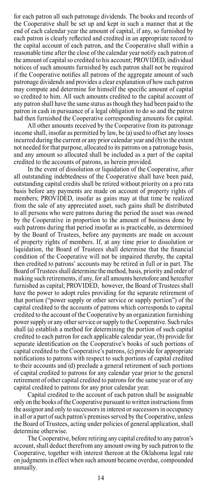for each patron all such patronage dividends. The books and records of the Cooperative shall be set up and kept in such a manner that at the end of each calendar year the amount of capital, if any, so furnished by each patron is clearly reflected and credited in an appropriate record to the capital account of each patron, and the Cooperative shall within a reasonable time after the close of the calendar year notify each patron of the amount of capital so credited to his account; PROVIDED, individual notices of such amounts furnished by each patron shall not be required if the Cooperative notifies all patrons of the aggregate amount of such patronage dividends and provides a clear explanation of how each patron may compute and determine for himself the specific amount of capital so credited to him. All such amounts credited to the capital account of any patron shall have the same status as though they had been paid to the patron in cash in pursuance of a legal obligation to do so and the patron had then furnished the Cooperative corresponding amounts for capital.

All other amounts received by the Cooperative from its patronage income shall, insofar as permitted by law, be (a) used to offset any losses incurred during the current or any prior calendar year and (b) to the extent not needed for that purpose, allocated to its patrons on a patronage basis, and any amount so allocated shall be included as a part of the capital credited to the accounts of patrons, as herein provided.

In the event of dissolution or liquidation of the Cooperative, after all outstanding indebtedness of the Cooperative shall have been paid, outstanding capital credits shall be retired without priority on a pro rata basis before any payments are made on account of property rights of members; PROVIDED, insofar as gains may at that time be realized from the sale of any appreciated asset, such gains shall be distributed to all persons who were patrons during the period the asset was owned by the Cooperative in proportion to the amount of business done by such patrons during that period insofar as is practicable, as determined by the Board of Trustees, before any payments are made on account of property rights of members. If, at any time prior to dissolution or liquidation, the Board of Trustees shall determine that the financial condition of the Cooperative will not be impaired thereby, the capital then credited to patrons' accounts may be retired in full or in part. The Board of Trustees shall determine the method, basis, priority and order of making such retirements, if any, for all amounts heretofore and hereafter furnished as capital; PROVIDED, however, the Board of Trustees shall have the power to adopt rules providing for the separate retirement of that portion ("power supply or other service or supply portion") of the capital credited to the accounts of patrons which corresponds to capital credited to the account of the Cooperative by an organization furnishing power supply or any other service or supply to the Cooperative. Such rules shall (a) establish a method for determining the portion of such capital credited to each patron for each applicable calendar year, (b) provide for separate identification on the Cooperative's books of such portions of capital credited to the Cooperative's patrons, (c) provide for appropriate notifications to patrons with respect to such portions of capital credited to their accounts and (d) preclude a general retirement of such portions of capital credited to patrons for any calendar year prior to the general retirement of other capital credited to patrons for the same year or of any capital credited to patrons for any prior calendar year.

Capital credited to the account of each patron shall be assignable only on the books of the Cooperative pursuant to written instructions from the assignor and only to successors in interest or successors in occupancy in all or a part of such patron's premises served by the Cooperative, unless the Board of Trustees, acting under policies of general application, shall determine otherwise.

The Cooperative, before retiring any capital credited to any patron's account, shall deduct therefrom any amount owing by such patron to the Cooperative, together with interest thereon at the Oklahoma legal rate on judgments in effect when such amount became overdue, compounded annually.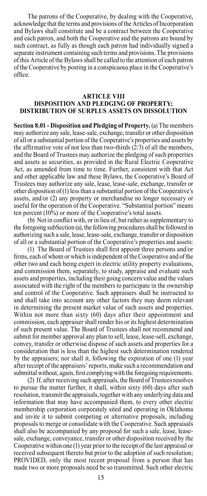The patrons of the Cooperative, by dealing with the Cooperative, acknowledge that the terms and provisions of the Articles of Incorporation and Bylaws shall constitute and be a contract between the Cooperative and each patron, and both the Cooperative and the patrons are bound by such contract, as fully as though each patron had individually signed a separate instrument containing such terms and provisions. The provisions of this Article of the Bylaws shall be called to the attention of each patron of the Cooperative by posting in a conspicuous place in the Cooperative's office.

#### **ARTICLE VIII DISPOSITION AND PLEDGING OF PROPERTY; DISTRIBUTION OF SURPLUS ASSETS ON DISSOLUTION**

**Section 8.01 - Disposition and Pledging of Property.** (a) The members may authorize any sale, lease-sale, exchange, transfer or other disposition of all or a substantial portion of the Cooperative's properties and assets by the affirmative vote of not less than two-thirds  $(2/3)$  of all the members, and the Board of Trustees may authorize the pledging of such properties and assets as securities, as provided in the Rural Electric Cooperative Act, as amended from time to time. Further, consistent with that Act and other applicable law and these Bylaws, the Cooperative's Board of Trustees may authorize any sale, lease, lease-sale, exchange, transfer or other disposition of (1) less than a substantial portion of the Cooperative's assets, and/or (2) any property or merchandise no longer necessary or useful for the operation of the Cooperative. "Substantial portion" means ten percent  $(10\%)$  or more of the Cooperative's total assets.

(b) Not in conflict with, or in lieu of, but rather as supplementary to the foregoing subSection (a), the following procedures shall be followed in authorizing such a sale, lease, lease-sale, exchange, transfer or disposition of all or a substantial portion of the Cooperative's properties and assets:

(1) The Board of Trustees shall first appoint three persons and/or firms, each of whom or which is independent of the Cooperative and of the other two and each being expert in electric utility property evaluations, and commission them, separately, to study, appraise and evaluate such assets and properties, including their going concern value and the values associated with the right of the members to participate in the ownership and control of the Cooperative. Such appraisers shall be instructed to and shall take into account any other factors they may deem relevant in determining the present market value of such assets and properties. Within not more than sixty (60) days after their appointment and commission, each appraiser shall render his or its highest determination of such present value. The Board of Trustees shall not recommend and submit for member approval any plan to sell, lease, lease-sell, exchange, convey, transfer or otherwise dispose of such assets and properties for a consideration that is less than the highest such determination rendered by the appraisers; nor shall it, following the expiration of one (1) year after receipt of the appraisers' reports, make such a recommendation and submittal without, again, first complying with the foregoing requirements.

(2) If, after receiving such appraisals, the Board of Trustees resolves to pursue the matter further, it shall, within sixty (60) days after such resolution, transmit the appraisals, together with any underlying data and information that may have accompanied them, to every other electric membership corporation corporately sited and operating in Oklahoma and invite it to submit competing or alternative proposals, including proposals to merge or consolidate with the Cooperative. Such appraisals shall also be accompanied by any proposal for such a sale, lease, leasesale, exchange, conveyance, transfer or other disposition received by the Cooperative within one (1) year prior to the receipt of the last appraisal or received subsequent thereto but prior to the adoption of such resolution; PROVIDED, only the most recent proposal from a person that has made two or more proposals need be so transmitted. Such other electric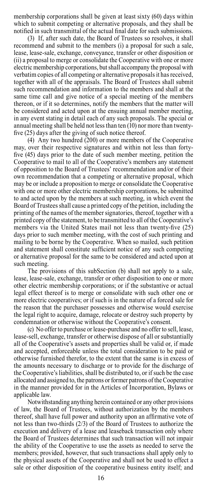membership corporations shall be given at least sixty (60) days within which to submit competing or alternative proposals, and they shall be notified in such transmittal of the actual final date for such submissions.

(3) If, after such date, the Board of Trustees so resolves, it shall recommend and submit to the members (i) a proposal for such a sale, lease, lease-sale, exchange, conveyance, transfer or other disposition or (ii) a proposal to merge or consolidate the Cooperative with one or more electric membership corporations, but shall accompany the proposal with verbatim copies of all competing or alternative proposals it has received, together with all of the appraisals. The Board of Trustees shall submit such recommendation and information to the members and shall at the same time call and give notice of a special meeting of the members thereon, or if it so determines, notify the members that the matter will be considered and acted upon at the ensuing annual member meeting, in any event stating in detail each of any such proposals. The special or annual meeting shall be held not less than ten (10) nor more than twentyfive (25) days after the giving of such notice thereof.

(4) Any two hundred (200) or more members of the Cooperative may, over their respective signatures and within not less than fortyfive (45) days prior to the date of such member meeting, petition the Cooperative to mail to all of the Cooperative's members any statement of opposition to the Board of Trustees' recommendation and/or of their own recommendation that a competing or alternative proposal, which may be or include a proposition to merge or consolidate the Cooperative with one or more other electric membership corporations, be submitted to and acted upon by the members at such meeting, in which event the Board of Trustees shall cause a printed copy of the petition, including the printing of the names of the member signatories, thereof, together with a printed copy of the statement, to be transmitted to all of the Cooperative's members via the United States mail not less than twenty-five (25) days prior to such member meeting, with the cost of such printing and mailing to be borne by the Cooperative. When so mailed, such petition and statement shall constitute sufficient notice of any such competing or alternative proposal for the same to be considered and acted upon at such meeting.

The provisions of this subSection (b) shall not apply to a sale, lease, lease-sale, exchange, transfer or other disposition to one or more other electric membership corporations; or if the substantive or actual legal effect thereof is to merge or consolidate with such other one or more electric cooperatives; or if such is in the nature of a forced sale for the reason that the purchaser possesses and otherwise would exercise the legal right to acquire, damage, relocate or destroy such property by condemnation or otherwise without the Cooperative's consent.

(c) No offer to purchase or lease-purchase and no offer to sell, lease, lease-sell, exchange, transfer or otherwise dispose of all or substantially all of the Cooperative's assets and properties shall be valid or, if made and accepted, enforceable unless the total consideration to be paid or otherwise furnished therefor, to the extent that the same is in excess of the amounts necessary to discharge or to provide for the discharge of the Cooperative's liabilities, shall be distributed to, or if such be the case allocated and assigned to, the patrons or former patrons of the Cooperative in the manner provided for in the Articles of Incorporation, Bylaws or applicable law.

Notwithstanding anything herein contained or any other provisions of law, the Board of Trustees, without authorization by the members thereof, shall have full power and authority upon an affirmative vote of not less than two-thirds (2/3) of the Board of Trustees to authorize the execution and delivery of a lease and leaseback transaction only where the Board of Trustees determines that such transaction will not impair the ability of the Cooperative to use the assets as needed to serve the members; provided, however, that such transactions shall apply only to the physical assets of the Cooperative and shall not be used to effect a sale or other disposition of the cooperative business entity itself; and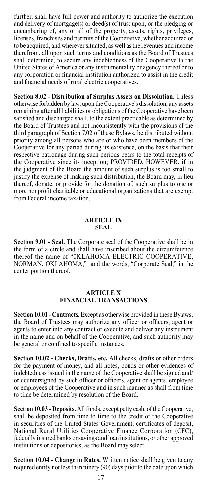further, shall have full power and authority to authorize the execution and delivery of mortgage(s) or deed(s) of trust upon, or the pledging or encumbering of, any or all of the property, assets, rights, privileges, licenses, franchises and permits of the Cooperative, whether acquired or to be acquired, and wherever situated, as well as the revenues and income therefrom, all upon such terms and conditions as the Board of Trustees shall determine, to secure any indebtedness of the Cooperative to the United States of America or any instrumentality or agency thereof or to any corporation or financial institution authorized to assist in the credit and financial needs of rural electric cooperatives.

**Section 8.02 - Distribution of Surplus Assets on Dissolution.** Unless otherwise forbidden by law, upon the Cooperative's dissolution, any assets remaining after all liabilities or obligations of the Cooperative have been satisfied and discharged shall, to the extent practicable as determined by the Board of Trustees and not inconsistently with the provisions of the third paragraph of Section 7.02 of these Bylaws, be distributed without priority among all persons who are or who have been members of the Cooperative for any period during its existence, on the basis that their respective patronage during such periods bears to the total receipts of the Cooperative since its inception; PROVIDED, HOWEVER, if in the judgment of the Board the amount of such surplus is too small to justify the expense of making such distribution, the Board may, in lieu thereof, donate, or provide for the donation of, such surplus to one or more nonprofit charitable or educational organizations that are exempt from Federal income taxation.

#### **ARTICLE IX SEAL**

**Section 9.01 - Seal.** The Corporate seal of the Cooperative shall be in the form of a circle and shall have inscribed about the circumference thereof the name of "0KLAHOMA ELECTRIC COOPERATIVE, NORMAN, OKLAHOMA," and the words, "Corporate Seal," in the center portion thereof.

#### **ARTICLE X FINANCIAL TRANSACTIONS**

**Section 10.01 - Contracts.** Except as otherwise provided in these Bylaws, the Board of Trustees may authorize any officer or officers, agent or agents to enter into any contract or execute and deliver any instrument in the name and on behalf of the Cooperative, and such authority may be general or confined to specific instances.

**Section 10.02 - Checks, Drafts, etc.** All checks, drafts or other orders for the payment of money, and all notes, bonds or other evidences of indebtedness issued in the name of the Cooperative shall be signed and/ or countersigned by such officer or officers, agent or agents, employee or employees of the Cooperative and in such manner as shall from time to time be determined by resolution of the Board.

**Section 10.03 - Deposits.** All funds, except petty cash, of the Cooperative, shall be deposited from time to time to the credit of the Cooperative in securities of the United States Government, certificates of deposit, National Rural Utilities Cooperative Finance Corporation (CFC), federally insured banks or savings and loan institutions, or other approved institutions or depositories, as the Board may select.

**Section 10.04 - Change in Rates.** Written notice shall be given to any required entity not less than ninety (90) days prior to the date upon which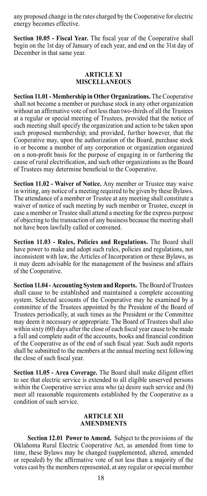any proposed change in the rates charged by the Cooperative for electric energy becomes effective.

**Section 10.05 - Fiscal Year.** The fiscal year of the Cooperative shall begin on the 1st day of January of each year, and end on the 31st day of December in that same year.

#### **ARTICLE XI MISCELLANEOUS**

**Section 11.01 - Membership in Other Organizations.** The Cooperative shall not become a member or purchase stock in any other organization without an affirmative vote of not less than two-thirds of all the Trustees at a regular or special meeting of Trustees, provided that the notice of such meeting shall specify the organization and action to be taken upon such proposed membership; and provided, further however, that the Cooperative may, upon the authorization of the Board, purchase stock in or become a member of any corporation or organization organized on a non-profit basis for the purpose of engaging in or furthering the cause of rural electrification, and such other organizations as the Board of Trustees may determine beneficial to the Cooperative.

**Section 11.02 - Waiver of Notice.** Any member or Trustee may waive in writing, any notice of a meeting required to be given by these Bylaws. The attendance of a member or Trustee at any meeting shall constitute a waiver of notice of such meeting by such member or Trustee, except in case a member or Trustee shall attend a meeting for the express purpose of objecting to the transaction of any business because the meeting shall not have been lawfully called or convened.

**Section 11.03 - Rules, Policies and Regulations.** The Board shall have power to make and adopt such rules, policies and regulations, not inconsistent with law, the Articles of Incorporation or these Bylaws, as it may deem advisable for the management of the business and affairs of the Cooperative.

**Section 11.04 - Accounting System and Reports.** The Board of Trustees shall cause to be established and maintained a complete accounting system. Selected accounts of the Cooperative may be examined by a committee of the Trustees appointed by the President of the Board of Trustees periodically, at such times as the President or the Committee may deem it necessary or appropriate. The Board of Trustees shall also within sixty (60) days after the close of each fiscal year cause to be made a full and complete audit of the accounts, books and financial condition of the Cooperative as of the end of such fiscal year. Such audit reports shall be submitted to the members at the annual meeting next following the close of such fiscal year.

**Section 11.05 - Area Coverage.** The Board shall make diligent effort to see that electric service is extended to all eligible unserved persons within the Cooperative service area who (a) desire such service and (b) meet all reasonable requirements established by the Cooperative as a condition of such service.

#### **ARTICLE XII AMENDMENTS**

**Section 12.01 Power to Amend.** Subject to the provisions of the Oklahoma Rural Electric Cooperative Act, as amended from time to time, these Bylaws may be changed (supplemented, altered, amended or repealed) by the affirmative vote of not less than a majority of the votes cast by the members represented, at any regular or special member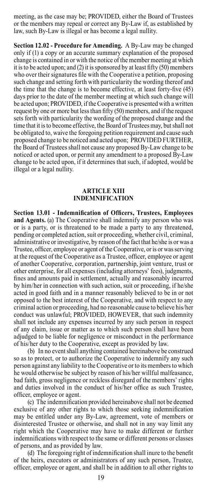meeting, as the case may be; PROVIDED, either the Board of Trustees or the members may repeal or correct any By-Law if, as established by law, such By-Law is illegal or has become a legal nullity.

**Section 12.02 - Procedure for Amending.** A By-Law may be changed only if (1) a copy or an accurate summary explanation of the proposed change is contained in or with the notice of the member meeting at which it is to be acted upon; and (2) it is sponsored by at least fifty (50) members who over their signatures file with the Cooperative a petition, proposing such change and setting forth with particularity the wording thereof and the time that the change is to become effective, at least forty-five (45) days prior to the date of the member meeting at which such change will be acted upon; PROVIDED, if the Cooperative is presented with a written request by one or more but less than fifty (50) members, and if the request sets forth with particularity the wording of the proposed change and the time that it is to become effective, the Board of Trustees may, but shall not be obligated to, waive the foregoing petition requirement and cause such proposed change to be noticed and acted upon; PROVIDED FURTHER, the Board of Trustees shall not cause any proposed By-Law change to be noticed or acted upon, or permit any amendment to a proposed By-Law change to be acted upon, if it determines that such, if adopted, would be illegal or a legal nullity.

#### **ARTICLE XIII INDEMNIFICATION**

**Section 13.01 - Indemnification of Officers, Trustees, Employees and Agents.** (a) The Cooperative shall indemnify any person who was or is a party, or is threatened to be made a party to any threatened, pending or completed action, suit or proceeding, whether civil, criminal, administrative or investigative, by reason of the fact that he/she is or was a Trustee, officer, employee or agent of the Cooperative, or is or was serving at the request of the Cooperative as a Trustee, officer, employee or agent of another Cooperative, corporation, partnership, joint venture, trust or other enterprise, for all expenses (including attorneys' fees), judgments, fines and amounts paid in settlement, actually and reasonably incurred by him/her in connection with such action, suit or proceeding, if he/she acted in good faith and in a manner reasonably believed to be in or not opposed to the best interest of the Cooperative, and with respect to any criminal action or proceeding, had no reasonable cause to believe his/her conduct was unlawful; PROVIDED, HOWEVER, that such indemnity shall not include any expenses incurred by any such person in respect of any claim, issue or matter as to which such person shall have been adjudged to be liable for negligence or misconduct in the performance of his/her duty to the Cooperative, except as provided by law.

(b) In no event shall anything contained hereinabove be construed so as to protect, or to authorize the Cooperative to indemnify any such person against any liability to the Cooperative or to its members to which he would otherwise be subject by reason of his/her willful malfeasance, bad faith, gross negligence or reckless disregard of the members' rights and duties involved in the conduct of his/her office as such Trustee, officer, employee or agent.

(c) The indemnification provided hereinabove shall not be deemed exclusive of any other rights to which those seeking indemnification may be entitled under any By-Law, agreement, vote of members or disinterested Trustee or otherwise, and shall not in any way limit any right which the Cooperative may have to make different or further indemnifications with respect to the same or different persons or classes of persons, and as provided by law.

(d) The foregoing right of indemnification shall inure to the benefit of the heirs, executors or administrators of any such person, Trustee, officer, employee or agent, and shall be in addition to all other rights to